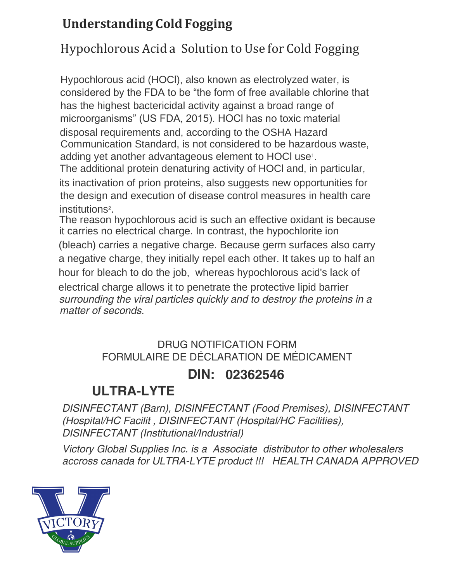## **Understanding Cold Fogging**

## Hypochlorous Acid a Solution to Use for Cold Fogging

Hypochlorous acid (HOCl), also known as electrolyzed water, is considered by the FDA to be "the form of free available chlorine that has the highest bactericidal activity against a broad range of microorganisms" (US FDA, 2015). HOCl has no toxic material disposal requirements and, according to the OSHA Hazard Communication Standard, is not considered to be hazardous waste, adding yet another advantageous element to HOCl use<sup>1</sup> .

The additional protein denaturing activity of HOCl and, in particular, its inactivation of prion proteins, also suggests new opportunities for the design and execution of disease control measures in health care institutions<sup>2</sup>.

The reason hypochlorous acid is such an effective oxidant is because it carries no electrical charge. In contrast, the hypochlorite ion (bleach) c[arries a negative ch](http://www.lisagermain.com/)arge. Because germ surfaces also carry a negative charge, they initially repel each other. It takes up to half an hour for bleach to do the job, whereas hypochlorous acid's lack of electrical charge allows it to penetrate the protective lipid barrier surrounding the viral particles quickly and to destroy the proteins in a matter of seconds.

## DRUG NOTIFICATION FORM FORMULAIRE DE DÉCLARATION DE MÉDICAMENT

### **DIN: 02362546**

# **ULTRA-LYTE**

DISINFECTANT (Barn), DISINFECTANT (Food Premises), DISINFECTANT (Hospital/HC Facilit , DISINFECTANT (Hospital/HC Facilities), DISINFECTANT (Institutional/Industrial)

Victory Global Supplies Inc. is a Associate distributor to other wholesalers accross canada for ULTRA-LYTE product !!! HEALTH CANADA APPROVED

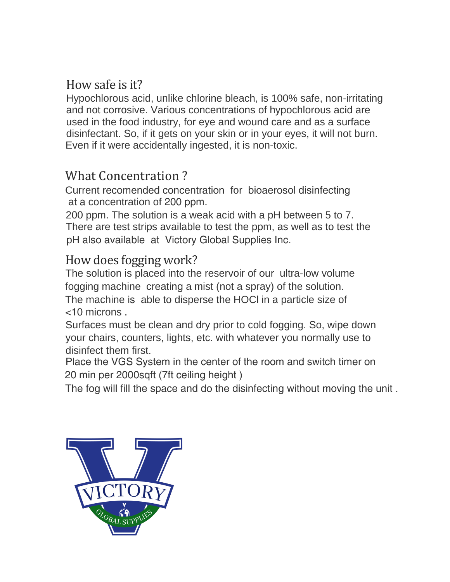#### How safe is it?

Hypochlorous acid, unlike chlorine bleach, is 100% safe, non-irritating and not corrosive. Various concentrations of hypochlorous acid are used in the food industry, for eye and wound care and as a surface disinfectant. So, if it gets on your skin or in your eyes, it will not burn. Even if it were accidentally ingested, it is non-toxic.

### What Concentration ?

Current recomended concentration for bioaerosol disinfecting at a concentration of 200 ppm.

200 ppm. The solution is a weak acid with a pH between 5 to 7. There are test strips available to test the ppm, as well as to test the pH also available at Victory Global Supplies Inc.

#### How does fogging work?

The solution is placed into the reservoir of our ultra-low volume fogging machine creating a mist (not a spray) of the solution.

The machine is able to disperse the HOCl in a particle size of <10 microns .

Surfaces must be clean and dry prior to cold fogging. So, wipe down your chairs, counters, lights, etc. with whatever you normally use to disinfect them first.

Place the VGS System in the center of the room and switch timer on 20 min per 2000sqft (7ft ceiling height )

The fog will fill the space and do the disinfecting without moving the unit .